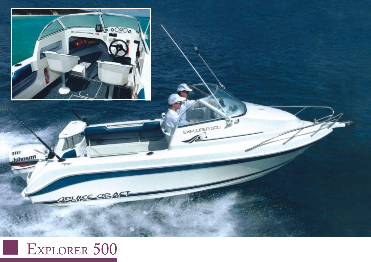

## EXPLORER 500